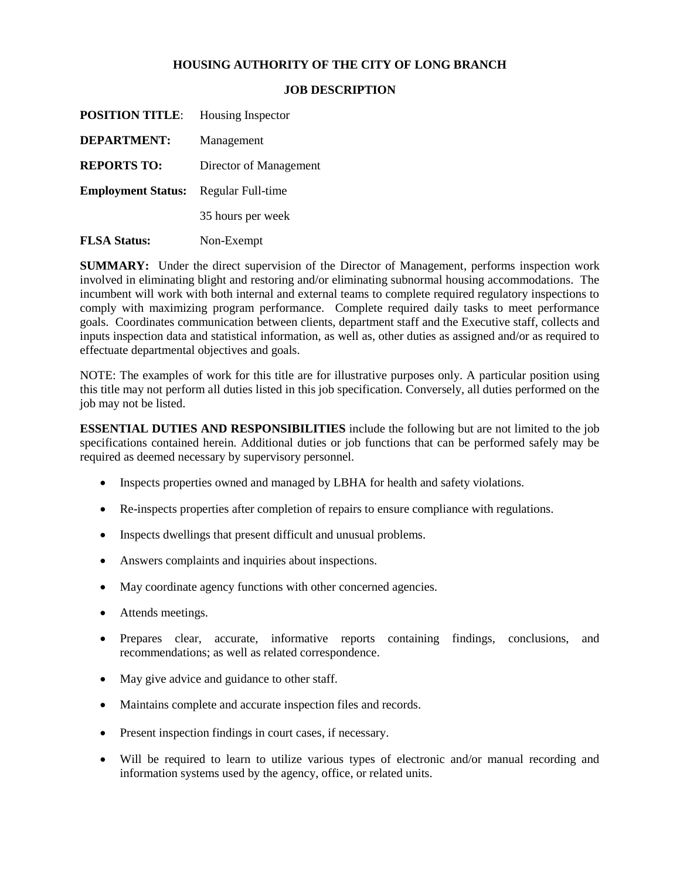# **HOUSING AUTHORITY OF THE CITY OF LONG BRANCH**

| <b>POSITION TITLE:</b>                      | Housing Inspector      |
|---------------------------------------------|------------------------|
| <b>DEPARTMENT:</b>                          | Management             |
| <b>REPORTS TO:</b>                          | Director of Management |
| <b>Employment Status:</b> Regular Full-time |                        |
|                                             | 35 hours per week      |
| <b>FLSA Status:</b>                         | Non-Exempt             |

**JOB DESCRIPTION**

**SUMMARY:** Under the direct supervision of the Director of Management, performs inspection work involved in eliminating blight and restoring and/or eliminating subnormal housing accommodations. The incumbent will work with both internal and external teams to complete required regulatory inspections to comply with maximizing program performance. Complete required daily tasks to meet performance goals. Coordinates communication between clients, department staff and the Executive staff, collects and inputs inspection data and statistical information, as well as, other duties as assigned and/or as required to effectuate departmental objectives and goals.

NOTE: The examples of work for this title are for illustrative purposes only. A particular position using this title may not perform all duties listed in this job specification. Conversely, all duties performed on the job may not be listed.

**ESSENTIAL DUTIES AND RESPONSIBILITIES** include the following but are not limited to the job specifications contained herein. Additional duties or job functions that can be performed safely may be required as deemed necessary by supervisory personnel.

- Inspects properties owned and managed by LBHA for health and safety violations.
- Re-inspects properties after completion of repairs to ensure compliance with regulations.
- Inspects dwellings that present difficult and unusual problems.
- Answers complaints and inquiries about inspections.
- May coordinate agency functions with other concerned agencies.
- Attends meetings.
- Prepares clear, accurate, informative reports containing findings, conclusions, and recommendations; as well as related correspondence.
- May give advice and guidance to other staff.
- Maintains complete and accurate inspection files and records.
- Present inspection findings in court cases, if necessary.
- Will be required to learn to utilize various types of electronic and/or manual recording and information systems used by the agency, office, or related units.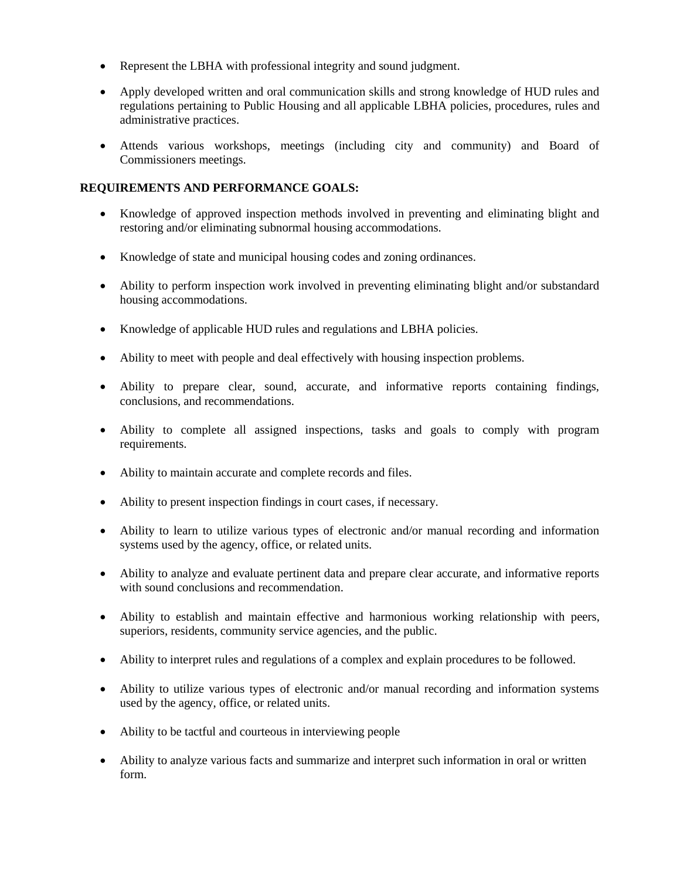- Represent the LBHA with professional integrity and sound judgment.
- Apply developed written and oral communication skills and strong knowledge of HUD rules and regulations pertaining to Public Housing and all applicable LBHA policies, procedures, rules and administrative practices.
- Attends various workshops, meetings (including city and community) and Board of Commissioners meetings.

# **REQUIREMENTS AND PERFORMANCE GOALS:**

- Knowledge of approved inspection methods involved in preventing and eliminating blight and restoring and/or eliminating subnormal housing accommodations.
- Knowledge of state and municipal housing codes and zoning ordinances.
- Ability to perform inspection work involved in preventing eliminating blight and/or substandard housing accommodations.
- Knowledge of applicable HUD rules and regulations and LBHA policies.
- Ability to meet with people and deal effectively with housing inspection problems.
- Ability to prepare clear, sound, accurate, and informative reports containing findings, conclusions, and recommendations.
- Ability to complete all assigned inspections, tasks and goals to comply with program requirements.
- Ability to maintain accurate and complete records and files.
- Ability to present inspection findings in court cases, if necessary.
- Ability to learn to utilize various types of electronic and/or manual recording and information systems used by the agency, office, or related units.
- Ability to analyze and evaluate pertinent data and prepare clear accurate, and informative reports with sound conclusions and recommendation.
- Ability to establish and maintain effective and harmonious working relationship with peers, superiors, residents, community service agencies, and the public.
- Ability to interpret rules and regulations of a complex and explain procedures to be followed.
- Ability to utilize various types of electronic and/or manual recording and information systems used by the agency, office, or related units.
- Ability to be tactful and courteous in interviewing people
- Ability to analyze various facts and summarize and interpret such information in oral or written form.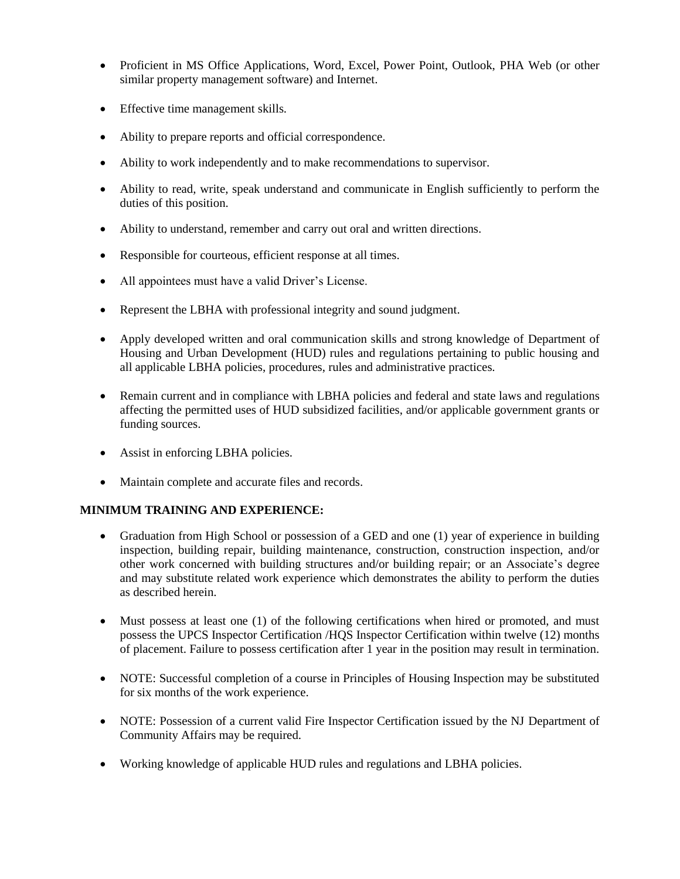- Proficient in MS Office Applications, Word, Excel, Power Point, Outlook, PHA Web (or other similar property management software) and Internet.
- Effective time management skills.
- Ability to prepare reports and official correspondence.
- Ability to work independently and to make recommendations to supervisor.
- Ability to read, write, speak understand and communicate in English sufficiently to perform the duties of this position.
- Ability to understand, remember and carry out oral and written directions.
- Responsible for courteous, efficient response at all times.
- All appointees must have a valid Driver's License.
- Represent the LBHA with professional integrity and sound judgment.
- Apply developed written and oral communication skills and strong knowledge of Department of Housing and Urban Development (HUD) rules and regulations pertaining to public housing and all applicable LBHA policies, procedures, rules and administrative practices.
- Remain current and in compliance with LBHA policies and federal and state laws and regulations affecting the permitted uses of HUD subsidized facilities, and/or applicable government grants or funding sources.
- Assist in enforcing LBHA policies.
- Maintain complete and accurate files and records.

# **MINIMUM TRAINING AND EXPERIENCE:**

- Graduation from High School or possession of a GED and one (1) year of experience in building inspection, building repair, building maintenance, construction, construction inspection, and/or other work concerned with building structures and/or building repair; or an Associate's degree and may substitute related work experience which demonstrates the ability to perform the duties as described herein.
- Must possess at least one (1) of the following certifications when hired or promoted, and must possess the UPCS Inspector Certification /HQS Inspector Certification within twelve (12) months of placement. Failure to possess certification after 1 year in the position may result in termination.
- NOTE: Successful completion of a course in Principles of Housing Inspection may be substituted for six months of the work experience.
- NOTE: Possession of a current valid Fire Inspector Certification issued by the NJ Department of Community Affairs may be required.
- Working knowledge of applicable HUD rules and regulations and LBHA policies.